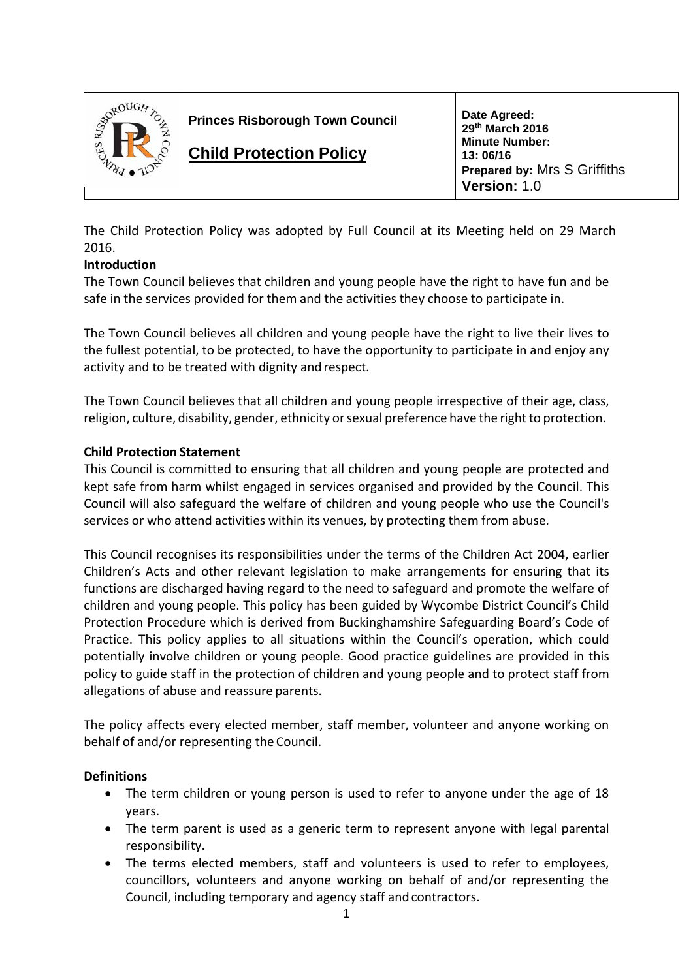

**Princes Risborough Town Council**

# **Child Protection Policy**

**Date Agreed: 29th March 2016 Minute Number: 13: 06/16 Prepared by:** Mrs S Griffiths **Version:** 1.0

The Child Protection Policy was adopted by Full Council at its Meeting held on 29 March 2016.

# **Introduction**

The Town Council believes that children and young people have the right to have fun and be safe in the services provided for them and the activities they choose to participate in.

The Town Council believes all children and young people have the right to live their lives to the fullest potential, to be protected, to have the opportunity to participate in and enjoy any activity and to be treated with dignity and respect.

The Town Council believes that all children and young people irrespective of their age, class, religion, culture, disability, gender, ethnicity or sexual preference have the right to protection.

# **Child Protection Statement**

This Council is committed to ensuring that all children and young people are protected and kept safe from harm whilst engaged in services organised and provided by the Council. This Council will also safeguard the welfare of children and young people who use the Council's services or who attend activities within its venues, by protecting them from abuse.

This Council recognises its responsibilities under the terms of the Children Act 2004, earlier Children's Acts and other relevant legislation to make arrangements for ensuring that its functions are discharged having regard to the need to safeguard and promote the welfare of children and young people. This policy has been guided by Wycombe District Council's Child Protection Procedure which is derived from Buckinghamshire Safeguarding Board's Code of Practice. This policy applies to all situations within the Council's operation, which could potentially involve children or young people. Good practice guidelines are provided in this policy to guide staff in the protection of children and young people and to protect staff from allegations of abuse and reassure parents.

The policy affects every elected member, staff member, volunteer and anyone working on behalf of and/or representing the Council.

# **Definitions**

- The term children or young person is used to refer to anyone under the age of 18 years.
- The term parent is used as a generic term to represent anyone with legal parental responsibility.
- The terms elected members, staff and volunteers is used to refer to employees, councillors, volunteers and anyone working on behalf of and/or representing the Council, including temporary and agency staff and contractors.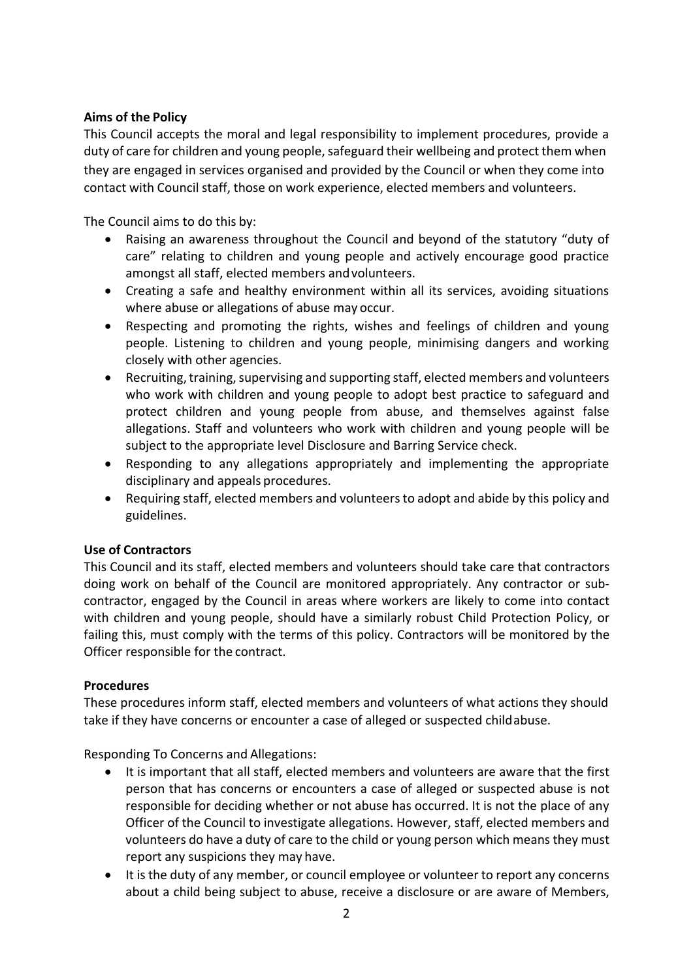# **Aims of the Policy**

This Council accepts the moral and legal responsibility to implement procedures, provide a duty of care for children and young people, safeguard their wellbeing and protect them when they are engaged in services organised and provided by the Council or when they come into contact with Council staff, those on work experience, elected members and volunteers.

The Council aims to do this by:

- Raising an awareness throughout the Council and beyond of the statutory "duty of care" relating to children and young people and actively encourage good practice amongst all staff, elected members andvolunteers.
- Creating a safe and healthy environment within all its services, avoiding situations where abuse or allegations of abuse may occur.
- Respecting and promoting the rights, wishes and feelings of children and young people. Listening to children and young people, minimising dangers and working closely with other agencies.
- Recruiting, training, supervising and supporting staff, elected members and volunteers who work with children and young people to adopt best practice to safeguard and protect children and young people from abuse, and themselves against false allegations. Staff and volunteers who work with children and young people will be subject to the appropriate level Disclosure and Barring Service check.
- Responding to any allegations appropriately and implementing the appropriate disciplinary and appeals procedures.
- Requiring staff, elected members and volunteersto adopt and abide by this policy and guidelines.

# **Use of Contractors**

This Council and its staff, elected members and volunteers should take care that contractors doing work on behalf of the Council are monitored appropriately. Any contractor or sub‐ contractor, engaged by the Council in areas where workers are likely to come into contact with children and young people, should have a similarly robust Child Protection Policy, or failing this, must comply with the terms of this policy. Contractors will be monitored by the Officer responsible for the contract.

# **Procedures**

These procedures inform staff, elected members and volunteers of what actions they should take if they have concerns or encounter a case of alleged or suspected childabuse.

Responding To Concerns and Allegations:

- It is important that all staff, elected members and volunteers are aware that the first person that has concerns or encounters a case of alleged or suspected abuse is not responsible for deciding whether or not abuse has occurred. It is not the place of any Officer of the Council to investigate allegations. However, staff, elected members and volunteers do have a duty of care to the child or young person which means they must report any suspicions they may have.
- It is the duty of any member, or council employee or volunteer to report any concerns about a child being subject to abuse, receive a disclosure or are aware of Members,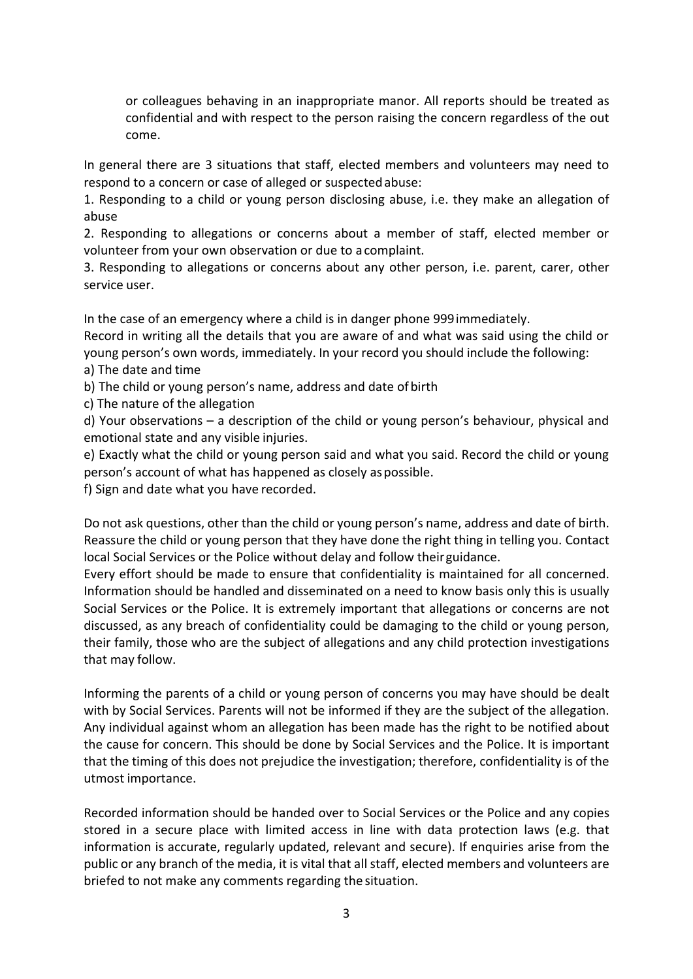or colleagues behaving in an inappropriate manor. All reports should be treated as confidential and with respect to the person raising the concern regardless of the out come.

In general there are 3 situations that staff, elected members and volunteers may need to respond to a concern or case of alleged or suspectedabuse:

1. Responding to a child or young person disclosing abuse, i.e. they make an allegation of abuse

2. Responding to allegations or concerns about a member of staff, elected member or volunteer from your own observation or due to a complaint.

3. Responding to allegations or concerns about any other person, i.e. parent, carer, other service user.

In the case of an emergency where a child is in danger phone 999immediately.

Record in writing all the details that you are aware of and what was said using the child or young person's own words, immediately. In your record you should include the following: a) The date and time

b) The child or young person's name, address and date of birth

c) The nature of the allegation

d) Your observations – a description of the child or young person's behaviour, physical and emotional state and any visible injuries.

e) Exactly what the child or young person said and what you said. Record the child or young person's account of what has happened as closely aspossible.

f) Sign and date what you have recorded.

Do not ask questions, other than the child or young person's name, address and date of birth. Reassure the child or young person that they have done the right thing in telling you. Contact local Social Services or the Police without delay and follow theirguidance.

Every effort should be made to ensure that confidentiality is maintained for all concerned. Information should be handled and disseminated on a need to know basis only this is usually Social Services or the Police. It is extremely important that allegations or concerns are not discussed, as any breach of confidentiality could be damaging to the child or young person, their family, those who are the subject of allegations and any child protection investigations that may follow.

Informing the parents of a child or young person of concerns you may have should be dealt with by Social Services. Parents will not be informed if they are the subject of the allegation. Any individual against whom an allegation has been made has the right to be notified about the cause for concern. This should be done by Social Services and the Police. It is important that the timing of this does not prejudice the investigation; therefore, confidentiality is of the utmost importance.

Recorded information should be handed over to Social Services or the Police and any copies stored in a secure place with limited access in line with data protection laws (e.g. that information is accurate, regularly updated, relevant and secure). If enquiries arise from the public or any branch of the media, it is vital that all staff, elected members and volunteers are briefed to not make any comments regarding the situation.